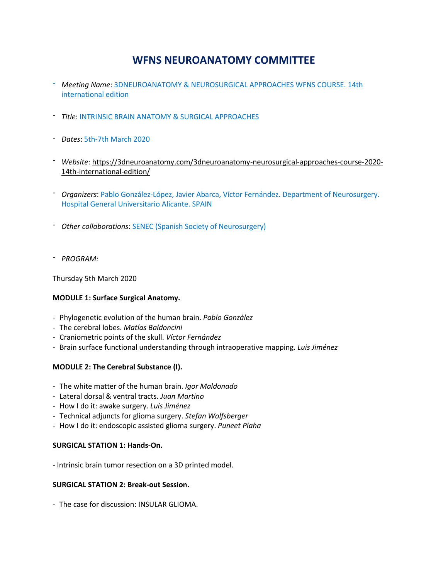# **WFNS NEUROANATOMY COMMITTEE**

- *Meeting Name*: 3DNEUROANATOMY & NEUROSURGICAL APPROACHES WFNS COURSE. 14th international edition
- *Title*: INTRINSIC BRAIN ANATOMY & SURGICAL APPROACHES
- *Dates*: 5th-7th March 2020
- *Website*: [https://3dneuroanatomy.com/3dneuroanatomy-neurosurgical-approaches-course-2020-](https://3dneuroanatomy.com/3dneuroanatomy-neurosurgical-approaches-course-2020-14th-international-edition/) [14th-international-edition/](https://3dneuroanatomy.com/3dneuroanatomy-neurosurgical-approaches-course-2020-14th-international-edition/)
- *- Organizers*: Pablo González-López, Javier Abarca, Víctor Fernández. Department of Neurosurgery. Hospital General Universitario Alicante. SPAIN
- *- Other collaborations*: SENEC (Spanish Society of Neurosurgery)
- *- PROGRAM:*

Thursday 5th March 2020

# **MODULE 1: Surface Surgical Anatomy.**

- Phylogenetic evolution of the human brain. *Pablo González*
- The cerebral lobes. *Matías Baldoncini*
- Craniometric points of the skull. *Víctor Fernández*
- Brain surface functional understanding through intraoperative mapping. *Luis Jiménez*

# **MODULE 2: The Cerebral Substance (I).**

- The white matter of the human brain. *Igor Maldonado*
- Lateral dorsal & ventral tracts. *Juan Martino*
- How I do it: awake surgery. *Luis Jiménez*
- Technical adjuncts for glioma surgery. *Stefan Wolfsberger*
- How I do it: endoscopic assisted glioma surgery. *Puneet Plaha*

## **SURGICAL STATION 1: Hands-On.**

- Intrinsic brain tumor resection on a 3D printed model.

## **SURGICAL STATION 2: Break-out Session.**

- The case for discussion: INSULAR GLIOMA.